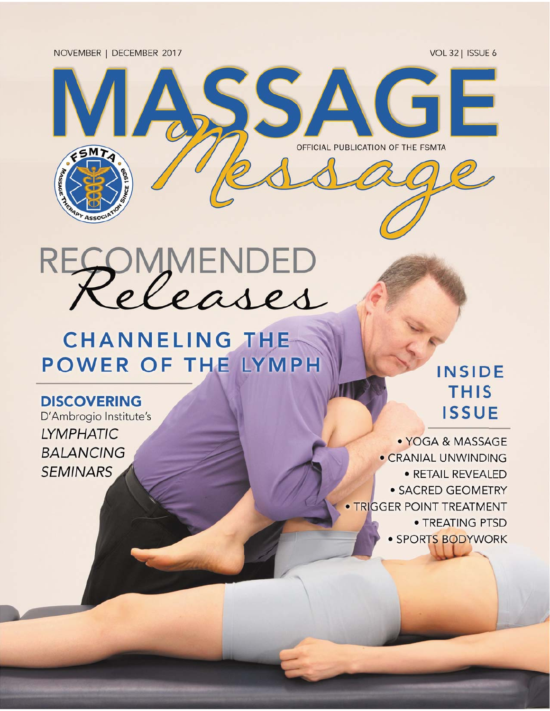NOVEMBER | DECEMBER 2017

VOL 32 | ISSUE 6



PMMENDED Rt

## **CHANNELING THE POWER OF THE LYMPH**

### **DISCOVERING**

D'Ambrogio Institute's **LYMPHATIC BALANCING SEMINARS** 

## **INSIDE THIS ISSUE**

· YOGA & MASSAGE · CRANIAL UNWINDING · RETAIL REVEALED · SACRED GEOMETRY · TRIGGER POINT TREATMENT • TREATING PTSD · SPORTS BODYWORK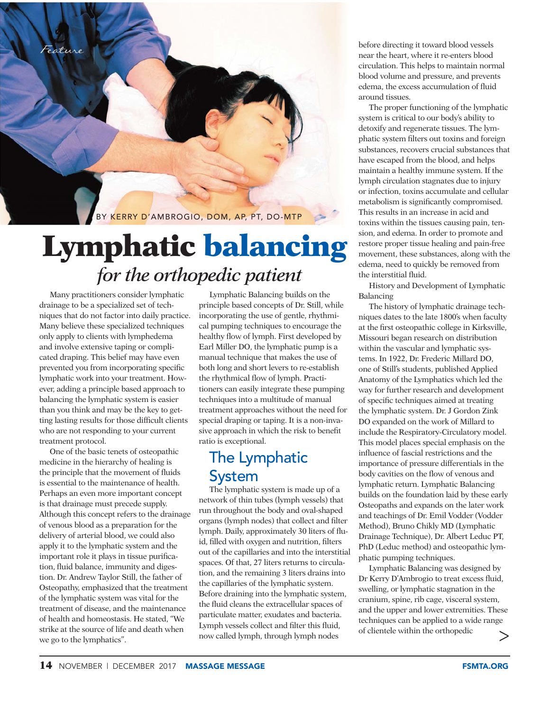

# **Lymphatic balance of the orthopedic patient**

Many practitioners consider lymphatic drainage to be a specialized set of techniques that do not factor into daily practice. Many believe these specialized techniques only apply to clients with lymphedema and involve extensive taping or complicated draping. This belief may have even prevented you from incorporating specific lymphatic work into your treatment. However, adding a principle based approach to balancing the lymphatic system is easier than you think and may be the key to getting lasting results for those difficult clients who are not responding to your current treatment protocol.

One of the basic tenets of osteopathic medicine in the hierarchy of healing is the principle that the movement of fluids is essential to the maintenance of health. Perhaps an even more important concept is that drainage must precede supply. Although this concept refers to the drainage of venous blood as a preparation for the delivery of arterial blood, we could also apply it to the lymphatic system and the important role it plays in tissue purification, fluid balance, immunity and digestion. Dr. Andrew Taylor Still, the father of Osteopathy, emphasized that the treatment of the lymphatic system was vital for the treatment of disease, and the maintenance of health and homeostasis. He stated, "We strike at the source of life and death when we go to the lymphatics".

Lymphatic Balancing builds on the principle based concepts of Dr. Still, while incorporating the use of gentle, rhythmical pumping techniques to encourage the healthy flow of lymph. First developed by Earl Miller DO, the lymphatic pump is a manual technique that makes the use of both long and short levers to re-establish the rhythmical flow of lymph. Practitioners can easily integrate these pumping techniques into a multitude of manual treatment approaches without the need for special draping or taping. It is a non-invasive approach in which the risk to benefit ratio is exceptional.

## The Lymphatic System

The lymphatic system is made up of a network of thin tubes (lymph vessels) that run throughout the body and oval-shaped organs (lymph nodes) that collect and filter lymph. Daily, approximately 30 liters of fluid, filled with oxygen and nutrition, filters out of the capillaries and into the interstitial spaces. Of that, 27 liters returns to circulation, and the remaining 3 liters drains into the capillaries of the lymphatic system. Before draining into the lymphatic system, the fluid cleans the extracellular spaces of particulate matter, exudates and bacteria. Lymph vessels collect and filter this fluid, now called lymph, through lymph nodes

before directing it toward blood vessels near the heart, where it re-enters blood circulation. This helps to maintain normal blood volume and pressure, and prevents edema, the excess accumulation of fluid around tissues.

The proper functioning of the lymphatic system is critical to our body's ability to detoxify and regenerate tissues. The lymphatic system filters out toxins and foreign substances, recovers crucial substances that have escaped from the blood, and helps maintain a healthy immune system. If the lymph circulation stagnates due to injury or infection, toxins accumulate and cellular metabolism is significantly compromised. This results in an increase in acid and toxins within the tissues causing pain, tension, and edema. In order to promote and restore proper tissue healing and pain-free movement, these substances, along with the edema, need to quickly be removed from the interstitial fluid.

History and Development of Lymphatic Balancing

The history of lymphatic drainage techniques dates to the late 1800's when faculty at the first osteopathic college in Kirksville, Missouri began research on distribution within the vascular and lymphatic systems. In 1922, Dr. Frederic Millard DO, one of Still's students, published Applied Anatomy of the Lymphatics which led the way for further research and development of specific techniques aimed at treating the lymphatic system. Dr. J Gordon Zink DO expanded on the work of Millard to include the Respiratory-Circulatory model. This model places special emphasis on the influence of fascial restrictions and the importance of pressure differentials in the body cavities on the flow of venous and lymphatic return. Lymphatic Balancing builds on the foundation laid by these early Osteopaths and expands on the later work and teachings of Dr. Emil Vodder (Vodder Method), Bruno Chikly MD (Lymphatic Drainage Technique), Dr. Albert Leduc PT, PhD (Leduc method) and osteopathic lymphatic pumping techniques.

Lymphatic Balancing was designed by Dr Kerry D'Ambrogio to treat excess fluid, swelling, or lymphatic stagnation in the cranium, spine, rib cage, visceral system, and the upper and lower extremities. These techniques can be applied to a wide range of clientele within the orthopedic  $\stackrel{\scriptscriptstyle\mathsf{c}}{>}$